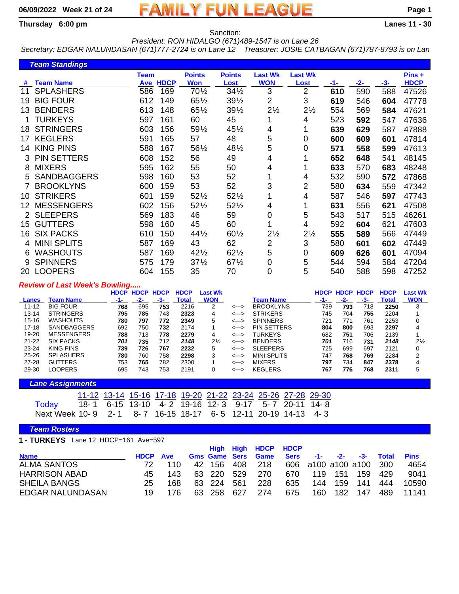# **06/09/2022 Week 21 of 24 FAMILY FUN LEAGUE Page 1**

**Thursday 6:00 pm Lanes 11 - 30**

Sanction: *President: RON HIDALGO (671)489-1547 is on Lane 26*

*Secretary: EDGAR NALUNDASAN (671)777-2724 is on Lane 12 Treasurer: JOSIE CATBAGAN (671)787-8793 is on Lan*

|    | <b>Team Standings</b> |                    |             |                             |                       |                              |                        |     |       |       |                       |
|----|-----------------------|--------------------|-------------|-----------------------------|-----------------------|------------------------------|------------------------|-----|-------|-------|-----------------------|
| #  | <b>Team Name</b>      | <b>Team</b><br>Ave | <b>HDCP</b> | <b>Points</b><br><b>Won</b> | <b>Points</b><br>Lost | <b>Last Wk</b><br><b>WON</b> | <b>Last Wk</b><br>Lost | -1- | $-2-$ | $-3-$ | Pins +<br><b>HDCP</b> |
| 11 | <b>SPLASHERS</b>      | 586                | 169         | 701/2                       | $34\frac{1}{2}$       | 3                            | 2                      | 610 | 590   | 588   | 47526                 |
| 19 | <b>BIG FOUR</b>       | 612                | 149         | 651/2                       | 391/2                 | $\overline{2}$               | 3                      | 619 | 546   | 604   | 47778                 |
| 13 | <b>BENDERS</b>        | 613                | 148         | 651/2                       | 391/2                 | $2\frac{1}{2}$               | $2\frac{1}{2}$         | 554 | 569   | 584   | 47621                 |
|    | TURKEYS               | 597                | 161         | 60                          | 45                    |                              | 4                      | 523 | 592   | 547   | 47636                 |
| 18 | <b>STRINGERS</b>      | 603                | 156         | 591/2                       | 451/2                 | 4                            |                        | 639 | 629   | 587   | 47888                 |
| 17 | <b>KEGLERS</b>        | 591                | 165         | 57                          | 48                    | 5                            | 0                      | 600 | 609   | 601   | 47814                 |
| 14 | <b>KING PINS</b>      | 588                | 167         | 561/2                       | 481/2                 | 5                            | 0                      | 571 | 558   | 599   | 47613                 |
| 3  | <b>PIN SETTERS</b>    | 608                | 152         | 56                          | 49                    | 4                            |                        | 652 | 648   | 541   | 48145                 |
| 8  | <b>MIXERS</b>         | 595                | 162         | 55                          | 50                    | 4                            |                        | 633 | 570   | 683   | 48248                 |
| 5  | <b>SANDBAGGERS</b>    | 598                | 160         | 53                          | 52                    |                              | 4                      | 532 | 590   | 572   | 47868                 |
|    | <b>BROOKLYNS</b>      | 600                | 159         | 53                          | 52                    | 3                            | 2                      | 580 | 634   | 559   | 47342                 |
| 10 | <b>STRIKERS</b>       | 601                | 159         | 521/2                       | 521/2                 | 1                            | 4                      | 587 | 546   | 597   | 47743                 |
| 12 | <b>MESSENGERS</b>     | 602                | 156         | 521/2                       | $52\frac{1}{2}$       | 4                            |                        | 631 | 556   | 621   | 47508                 |
|    | <b>SLEEPERS</b>       | 569                | 183         | 46                          | 59                    | 0                            | 5                      | 543 | 517   | 515   | 46261                 |
| 15 | <b>GUTTERS</b>        | 598                | 160         | 45                          | 60                    | 1                            | 4                      | 592 | 604   | 621   | 47603                 |
| 16 | <b>SIX PACKS</b>      | 610                | 150         | $44\frac{1}{2}$             | 601/2                 | $2\frac{1}{2}$               | $2\frac{1}{2}$         | 555 | 589   | 566   | 47449                 |
| 4  | <b>MINI SPLITS</b>    | 587                | 169         | 43                          | 62                    | 2                            | 3                      | 580 | 601   | 602   | 47449                 |
| 6  | <b>WASHOUTS</b>       | 587                | 169         | 421/2                       | 621/2                 | 5                            | 0                      | 609 | 626   | 601   | 47094                 |
| 9  | <b>SPINNERS</b>       | 575                | 179         | $37\frac{1}{2}$             | $67\frac{1}{2}$       | 0                            | 5                      | 544 | 594   | 584   | 47204                 |
| 20 | <b>LOOPERS</b>        | 604                | 155         | 35                          | 70                    | 0                            | 5                      | 540 | 588   | 598   | 47252                 |

#### *Review of Last Week's Bowling.....*

|           |                    | <b>HDCP</b> | <b>HDCP</b> | <b>HDCP</b> | <b>HDCP</b>  | Last Wk        |       |                    | <b>HDCP</b> | <b>HDCP</b> | <b>HDCP</b> | <b>HDCP</b> | Last Wk        |
|-----------|--------------------|-------------|-------------|-------------|--------------|----------------|-------|--------------------|-------------|-------------|-------------|-------------|----------------|
| Lanes     | <b>Feam Name</b>   | -1-         | $-2-$       | -3-         | <b>Total</b> | <b>WON</b>     |       | Team Name          | -1-         | -2-         | -3-         | Total       | <b>WON</b>     |
| $11 - 12$ | <b>BIG FOUR</b>    | 768         | 695         | 753         | 2216         | 2              | <---> | <b>BROOKLYNS</b>   | 739         | 793         | 718         | 2250        |                |
| $13 - 14$ | <b>STRINGERS</b>   | 795         | 785         | 743         | 2323         | 4              | <---> | <b>STRIKERS</b>    | 745         | 704         | 755         | 2204        |                |
| $15-16$   | <b>WASHOUTS</b>    | 780         | 797         | 772         | 2349         | 5              | <---> | <b>SPINNERS</b>    | 721         | 771         | 761         | 2253        |                |
| $17 - 18$ | <b>SANDBAGGERS</b> | 692         | 750         | 732         | 2174         |                | <---> | <b>PIN SETTERS</b> | 804         | 800         | 693         | 2297        |                |
| $19 - 20$ | <b>MESSENGERS</b>  | 788         | 713         | 778         | 2279         | 4              | <---> | TURKEYS            | 682         | 751         | 706         | 2139        |                |
| $21 - 22$ | <b>SIX PACKS</b>   | 701         | 735         | 712         | 2148         | $2\frac{1}{2}$ | <---> | <b>BENDERS</b>     | 701         | 716         | 731         | 2148        | $2\frac{1}{2}$ |
| $23 - 24$ | KING PINS          | 739         | 726         | 767         | 2232         | 5              | <---> | <b>SLEEPERS</b>    | 725         | 699         | 697         | 2121        |                |
| $25 - 26$ | <b>SPLASHERS</b>   | 780         | 760         | 758         | 2298         | 3              | <---> | <b>MINI SPLITS</b> | 747         | 768         | 769         | 2284        |                |
| $27 - 28$ | <b>GUTTERS</b>     | 753         | 765         | 782         | 2300         |                | <---> | <b>MIXERS</b>      | 797         | 734         | 847         | 2378        | 4              |
| 29-30     | LOOPERS            | 695         | 743         | 753         | 2191         |                | <---> | <b>KEGLERS</b>     | 767         | 776         | 768         | 2311        |                |

#### *Lane Assignments*

|                                                              |  | 11-12 13-14 15-16 17-18 19-20 21-22 23-24 25-26 27-28 29-30 |  |  |  |
|--------------------------------------------------------------|--|-------------------------------------------------------------|--|--|--|
| Today 18-1 6-15 13-10 4-2 19-16 12-3 9-17 5-7 20-11 14-8     |  |                                                             |  |  |  |
| Next Week 10-9 2-1 8-7 16-15 18-17 6-5 12-11 20-19 14-13 4-3 |  |                                                             |  |  |  |

## *Team Rosters*

**1 - TURKEYS** Lane 12 HDCP=161 Ave=597

|                         |             |            |     |                      |     | High High HDCP HDCP |             |      |                      |                    |       |             |
|-------------------------|-------------|------------|-----|----------------------|-----|---------------------|-------------|------|----------------------|--------------------|-------|-------------|
| <b>Name</b>             | <b>HDCP</b> | <b>Ave</b> |     | <b>Gms Game Sers</b> |     | Game                | <b>Sers</b> |      | $-1$ - $-2$ - $-3$ - |                    | Total | <b>Pins</b> |
| <b>ALMA SANTOS</b>      |             | 110        |     | 42 156               | 408 | 218                 |             |      |                      | 606 a100 a100 a100 | - 300 | 4654        |
| <b>HARRISON ABAD</b>    | 45          | 143        |     | 63 220               | 529 | 270                 | 670         | 119  | 151                  | 159                | 429   | 9041        |
| <b>SHEILA BANGS</b>     | 25          | 168        |     | 63 224               | 561 | 228                 | 635         | 144  | 159                  | 141                | 444   | 10590       |
| <b>EDGAR NALUNDASAN</b> | 19          | 176        | 63. | -258                 | 627 | 274                 | 675         | 160. | 182                  | 147                | 489   | 11141       |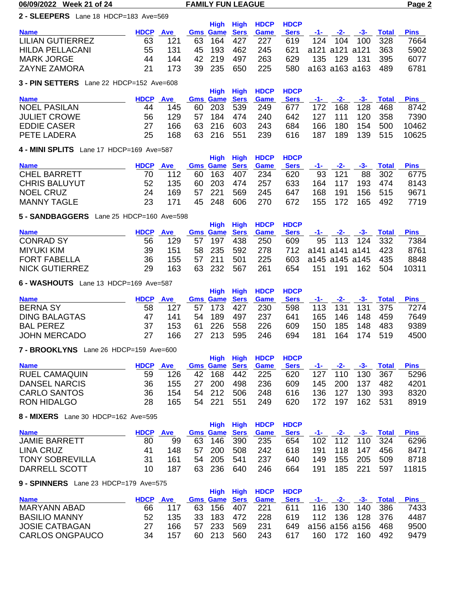#### **06/09/2022 Week 21 of 24 FAMILY FUN LEAGUE Page 2**

## **2 - SLEEPERS** Lane 18 HDCP=183 Ave=569

|                         |             |            |                      |     | High High HDCP HDCP |             |         |                        |       |             |
|-------------------------|-------------|------------|----------------------|-----|---------------------|-------------|---------|------------------------|-------|-------------|
| <b>Name</b>             | <b>HDCP</b> | <b>Ave</b> | <b>Gms Game Sers</b> |     | <b>Game</b>         | <b>Sers</b> |         | -1- -2- -3- 1          | Total | <b>Pins</b> |
| <b>LILIAN GUTIERREZ</b> | 63          | 121        | 63 164 427           |     | 227                 | 619         |         | 124 104 100 328        |       | 7664        |
| <b>HILDA PELLACANI</b>  | 55.         | 131        | 45 193               | 462 | 245                 |             |         | 621 a121 a121 a121 363 |       | 5902        |
| <b>MARK JORGE</b>       | 44          | 144        | 42 219               | 497 | 263                 | 629         | 135 129 | - 131                  | 395   | 6077        |
| <b>ZAYNE ZAMORA</b>     |             | 173        | 39 235               | 650 | 225                 |             |         | 580 a163 a163 a163     | 489   | 6781        |

## **3 - PIN SETTERS** Lane 22 HDCP=152 Ave=608

|     |      |                                                               |  |                                                      |                           |                             |     |     |                | <b>Pins</b>                                            |
|-----|------|---------------------------------------------------------------|--|------------------------------------------------------|---------------------------|-----------------------------|-----|-----|----------------|--------------------------------------------------------|
| 44  | 145  |                                                               |  | - 249                                                | 677                       |                             |     |     | -468           | 8742                                                   |
| 56. | 129. |                                                               |  | 240                                                  | 642                       |                             |     |     |                | 7390                                                   |
|     | 166  |                                                               |  | 243                                                  | 684                       |                             | 180 | 154 | 500            | 10462                                                  |
| 25  | 168. |                                                               |  | -239                                                 | 616                       | 187                         | 189 |     |                | 10625                                                  |
|     |      | <b>J - FIN JLITLING</b> LATE ZZ TIDUF=13Z AVE=000<br>HDCP Ave |  | 60 203 539<br>57 184 474<br>63 216 603<br>63 216 551 | <b>Gms Game Sers Game</b> | High High HDCP HDCP<br>Sers |     | 166 | $-1$ $-2$ $-2$ | -3- Total<br>172 168 128<br>127 111 120 358<br>139 515 |

## **4 - MINI SPLITS** Lane 17 HDCP=169 Ave=587

| $\tau$ - IVIIIVI OI LIIO LARCHU II ROO - 100 AVC-007 |                 |     |  |            |     |                           |      |  |         |         |                        |      |  |  |
|------------------------------------------------------|-----------------|-----|--|------------|-----|---------------------------|------|--|---------|---------|------------------------|------|--|--|
|                                                      |                 |     |  |            |     | High High HDCP HDCP       |      |  |         |         |                        |      |  |  |
| <b>Name</b>                                          | <b>HDCP</b> Ave |     |  |            |     | <b>Gms Game Sers Game</b> | Sers |  |         |         | -1- -2- -3- Total Pins |      |  |  |
| <b>CHEL BARRETT</b>                                  |                 | 112 |  | 60 163 407 |     | -234                      | 620  |  | 93 121  |         | 88 302                 | 6775 |  |  |
| <b>CHRIS BALUYUT</b>                                 | 52              | 135 |  | 60 203     | 474 | 257                       | 633  |  | 164 117 | 193 474 |                        | 8143 |  |  |
| NOEL CRUZ                                            | 24              | 169 |  | 57 221     | 569 | 245                       | 647  |  | 168 191 | 156 515 |                        | 9671 |  |  |
| <b>MANNY TAGLE</b>                                   | 23.             |     |  | 45 248     | 606 | 270                       | 672  |  | 155 172 | 165     | 492                    | 7719 |  |  |

## **5 - SANDBAGGERS** Lane 25 HDCP=160 Ave=598

|                       |                 |      |            |     | High High HDCP HDCP       |      |     |     |                        |                   |       |
|-----------------------|-----------------|------|------------|-----|---------------------------|------|-----|-----|------------------------|-------------------|-------|
| <b>Name</b>           | <b>HDCP</b> Ave |      |            |     | <b>Gms Game Sers Game</b> | Sers |     |     |                        | -1- -2- -3- Total | Pins  |
| <b>CONRAD SY</b>      | 56              | 129  | 57 197 438 |     | -250                      | 609  |     |     | 95 113 124 332         |                   | 7384  |
| MIYUKI KIM            | 39              | 151  |            |     | 58 235 592 278            |      |     |     | 712 a141 a141 a141 423 |                   | 8761  |
| <b>FORT FABELLA</b>   | 36              | 155  | 57 211     | 501 | 225                       |      |     |     | 603 a145 a145 a145 435 |                   | 8848  |
| <b>NICK GUTIERREZ</b> | 29.             | 163. | 63 232     | 567 | 261                       | 654  | 151 | 191 | 162                    | 504               | 10311 |

## **6 - WASHOUTS** Lane 13 HDCP=169 Ave=587

|                      |             |            |                      |      | High High HDCP HDCP |             |     |             |             |           |      |
|----------------------|-------------|------------|----------------------|------|---------------------|-------------|-----|-------------|-------------|-----------|------|
| <b>Name</b>          | <b>HDCP</b> | <b>Ave</b> | <b>Gms Game Sers</b> |      | <b>Game</b>         | <b>Sers</b> |     | $-1 - 2 -$  |             | -3- Total | Pins |
| <b>BERNA SY</b>      | 58          | 127        | 57 173 427           |      | 230                 | 598         |     | 113 131     | 131 375     |           | 7274 |
| <b>DING BALAGTAS</b> | 47          | 141        | 54 189               | 497  | 237                 | 641         |     | 165 146     | 148         | 459       | 7649 |
| <b>BAL PEREZ</b>     |             | 153        | 61 226               | -558 | 226                 | 609         |     | 150 185 148 |             | 483       | 9389 |
| <b>JOHN MERCADO</b>  |             | 166.       | 27 213               | 595  | 246                 | 694         | 181 |             | 164 174 519 |           | 4500 |

## **7 - BROOKLYNS** Lane 26 HDCP=159 Ave=600

|                      |             |            |    |            |     | High High HDCP HDCP       |             |       |                 |     |       |             |
|----------------------|-------------|------------|----|------------|-----|---------------------------|-------------|-------|-----------------|-----|-------|-------------|
| <b>Name</b>          | <b>HDCP</b> | <b>Ave</b> |    |            |     | <b>Gms Game Sers Game</b> | <b>Sers</b> | $-1-$ | $ -2$ $-$       | -3- | Total | <b>Pins</b> |
| <b>RUEL CAMAQUIN</b> | 59          | 126.       |    | 42 168 442 |     | 225                       | 620         |       | 127 110 130 367 |     |       | 5296        |
| DANSEL NARCIS        | 36          | 155        | 27 | - 200      | 498 | 236                       | 609         |       | 145 200         | 137 | 482   | 4201        |
| CARLO SANTOS         | 36          | 154        |    | 54 212     | 506 | 248                       | 616         | 136   | -127            | 130 | -393  | 8320        |
| <b>RON HIDALGO</b>   | 28          | 165.       |    | 54 221     | 551 | 249                       | 620         | 172   | 197             | 162 | - 531 | 8919        |

## **8 - MIXERS** Lane 30 HDCP=162 Ave=595

|    | <b>Ave</b> |             |  |                            |            | <b>Sers</b>               |                     |  |     |                        | Pins                                            |  |  |  |
|----|------------|-------------|--|----------------------------|------------|---------------------------|---------------------|--|-----|------------------------|-------------------------------------------------|--|--|--|
| 80 | 99         |             |  |                            | 235        | 654                       |                     |  |     |                        | 6296                                            |  |  |  |
| 41 | 148        |             |  | 508                        | 242        | 618                       |                     |  |     | 456                    | 8471                                            |  |  |  |
| 31 | 161        |             |  | 541                        | 237        | 640                       |                     |  |     | 509                    | 8718                                            |  |  |  |
| 10 | 187        |             |  | 640                        | 246        | 664                       | 191                 |  |     | 597                    | 11815                                           |  |  |  |
|    |            | <b>HDCP</b> |  | 57 200<br>54 205<br>63 236 | 63 146 390 | <b>Gms Game Sers Game</b> | High High HDCP HDCP |  | 149 | 191 118 147<br>185 221 | -1- -2- -3- Total<br>102 112 110 324<br>155 205 |  |  |  |

## **9 - SPINNERS** Lane 23 HDCP=179 Ave=575

| <b>HDCP</b> | Ave  |  |                  |            | <b>Sers</b>                                |                     |     | -3-                | Total            | <b>Pins</b>                                          |
|-------------|------|--|------------------|------------|--------------------------------------------|---------------------|-----|--------------------|------------------|------------------------------------------------------|
| 66          |      |  |                  | 221        | 611                                        |                     |     |                    |                  | 7433                                                 |
| 52.         | 135. |  |                  | -228       |                                            |                     |     |                    |                  | 4487                                                 |
|             | 166. |  | 569              | -231       |                                            |                     |     |                    |                  | 9500                                                 |
| 34          | 157  |  | 560              | 243        | 617                                        |                     |     | 160.               | 492              | 9479                                                 |
|             |      |  | 57 233<br>60 213 | 63 156 407 | <b>Gms Game Sers</b><br>Game<br>33 183 472 | High High HDCP HDCP | 619 | $-1 - 2 -$<br>160. | 116 130<br>- 172 | 140 386<br>112 136 128 376<br>649 a156 a156 a156 468 |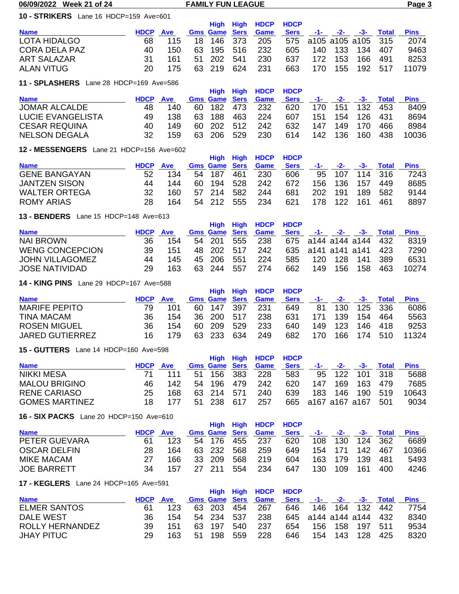#### **10 - STRIKERS** Lane 16 HDCP=159 Ave=601

|                      |                 |      |            | High High HDCP HDCP                   |      |  |                     |                        |       |
|----------------------|-----------------|------|------------|---------------------------------------|------|--|---------------------|------------------------|-------|
| <b>Name</b>          | <b>HDCP</b> Ave |      |            | <b>Gms Game Sers Game</b>             | Sers |  |                     | -1- -2- -3- Total Pins |       |
| LOTA HIDALGO         | 68              | 115. |            | 18 146 373 205 575 a105 a105 a105 315 |      |  |                     |                        | 2074  |
| <b>CORA DELA PAZ</b> | 40.             | 150. |            | 63 195 516 232                        |      |  | 605 140 133 134 407 |                        | 9463  |
| <b>ART SALAZAR</b>   |                 | 161  | 51 202 541 | 230                                   | 637  |  | 172 153 166 491     |                        | 8253  |
| ALAN VITUG           | 20.             | 175  | 63 219 624 | -231                                  | 663  |  |                     | 170 155 192 517        | 11079 |

## **11 - SPLASHERS** Lane 28 HDCP=169 Ave=586

|                          |             |     |     |                      |      | High High HDCP HDCP |             |      |       |     |       |             |
|--------------------------|-------------|-----|-----|----------------------|------|---------------------|-------------|------|-------|-----|-------|-------------|
| <b>Name</b>              | <b>HDCP</b> | Ave |     | <b>Gms Game Sers</b> |      | <b>Game</b>         | <b>Sers</b> | -1-  | $-2-$ | -3- | Total | <b>Pins</b> |
| <b>JOMAR ALCALDE</b>     | 48          | 140 | 60. | 182 473              |      | 232                 | 620         | 170. | 151   | 132 | -453  | 8409        |
| <b>LUCIE EVANGELISTA</b> | 49.         | 138 | 63. | 188                  | 463  | 224                 | 607         | 151  | 154   | 126 | -431  | 8694        |
| <b>CESAR REQUINA</b>     | 40.         | 149 |     | 60 202               | -512 | 242                 | 632         | 147  | 149   | 170 | 466   | 8984        |
| <b>NELSON DEGALA</b>     | 32          | 159 |     | 63 206               | 529  | 230                 | 614         | 142  | 136   | 160 | 438   | 10036       |

#### **12 - MESSENGERS** Lane 21 HDCP=156 Ave=602

| <b>IZ</b> = <b>MEOOENOENO</b> Edito ZT TIDOI = 100 7WC=00Z |            |  |       |                                   |      |                      |                     |      |     |                      |                |
|------------------------------------------------------------|------------|--|-------|-----------------------------------|------|----------------------|---------------------|------|-----|----------------------|----------------|
|                                                            |            |  |       |                                   |      |                      |                     |      |     |                      |                |
| <b>HDCP</b>                                                | <b>Ave</b> |  |       |                                   | Game | <b>Sers</b>          |                     |      |     | Total                | <b>Pins</b>    |
| 52                                                         | 134        |  |       | 461                               | 230  | 606                  |                     |      |     |                      | 7243           |
| 44                                                         | 144        |  | - 194 |                                   | 242  | 672                  | 156                 | 136  | 157 | 449                  | 8685           |
| 32                                                         | 160        |  |       | 582                               | 244  | 681                  | 202                 | -191 | 189 | 582                  | 9144           |
| 28                                                         | 164        |  |       | 555                               | 234  | 621                  | 178.                | 122  | 161 | -461                 | 8897           |
|                                                            |            |  |       | 54 187<br>60.<br>57 214<br>54 212 | -528 | <b>Gms Game Sers</b> | High High HDCP HDCP |      |     | $-1$ - $-2$ - $-3$ - | 95 107 114 316 |

#### **13 - BENDERS** Lane 15 HDCP=148 Ave=613

|                        |             |      |     |                      |     | High High HDCP HDCP |             |      |     |                        |       |       |
|------------------------|-------------|------|-----|----------------------|-----|---------------------|-------------|------|-----|------------------------|-------|-------|
| <b>Name</b>            | <b>HDCP</b> | Ave  |     | <b>Gms Game Sers</b> |     | Game                | <b>Sers</b> |      |     | -1- -2- -3- Total      |       | Pins  |
| NAI BROWN              | 36          | 154  |     | 54 201 555           |     | -238                |             |      |     | 675 a144 a144 a144 432 |       | 8319  |
| <b>WENG CONCEPCION</b> | 39.         | 151  |     | 48 202 517           |     | 242                 |             |      |     | 635 a141 a141 a141 423 |       | 7290  |
| <b>JOHN VILLAGOMEZ</b> | 44          | 145. |     | 45 206               | 551 | 224                 | 585         | 120  | 128 | 141                    | - 389 | 6531  |
| JOSE NATIVIDAD         | 29          | 163  | 63. | 244                  | 557 | 274                 | 662         | 149. | 156 | 158                    | 463   | 10274 |

#### **14 - KING PINS** Lane 29 HDCP=167 Ave=588

|                        |             |            |     |                      |     | High High HDCP HDCP |             |       |     |         |              |             |
|------------------------|-------------|------------|-----|----------------------|-----|---------------------|-------------|-------|-----|---------|--------------|-------------|
| <b>Name</b>            | <b>HDCP</b> | <b>Ave</b> |     | <b>Gms Game Sers</b> |     | Game                | <b>Sers</b> | $-1-$ | -2- | -3-     | <b>Total</b> | <b>Pins</b> |
| <b>MARIFE PEPITO</b>   | 79          | 101        |     | 60 147 397           |     | 231                 | 649         | 81    | 130 |         | 125 336      | 6086        |
| <b>TINA MACAM</b>      | 36          | 154        |     | 36 200 517           |     | 238                 | 631         | 171   | 139 | 154     | 464          | 5563        |
| <b>ROSEN MIGUEL</b>    | 36          | 154        |     | 60 209               | 529 | 233                 | 640         | 149.  | 123 |         | 146 418      | 9253        |
| <b>JARED GUTIERREZ</b> | 16          | 179        | 63. | -233                 | 634 | 249                 | 682         | 170.  | 166 | 174 510 |              | 11324       |

#### **15 - GUTTERS** Lane 14 HDCP=160 Ave=598

|                       |             |            |                      | High High HDCP HDCP |             |     |                      |                        |         |             |
|-----------------------|-------------|------------|----------------------|---------------------|-------------|-----|----------------------|------------------------|---------|-------------|
| <b>Name</b>           | <b>HDCP</b> | <b>Ave</b> | <b>Gms Game Sers</b> | Game                | <b>Sers</b> |     | $-1$ - $-2$ - $-3$ - |                        | Total   | <b>Pins</b> |
| <b>NIKKI MESA</b>     |             | 111        | 51 156 383           | 228                 | 583         |     |                      | 95 122 101 318         |         | 5688        |
| <b>MALOU BRIGINO</b>  | 46          | 142.       | 54 196 479           | 242                 | 620         | 147 | 169                  | 163                    | 479     | 7685        |
| RENE CARIASO          | 25          | 168        | 63 214 571           | 240                 | 639         | 183 | 146                  |                        | 190 519 | 10643       |
| <b>GOMES MARTINEZ</b> | 18.         | 177        | 51 238 617           | 257                 |             |     |                      | 665 a167 a167 a167 501 |         | 9034        |

#### **16 - SIX PACKS** Lane 20 HDCP=150 Ave=610

| $10 - 31$          |                 |      |  |        |       |                           |             |       |                 |         |       |             |
|--------------------|-----------------|------|--|--------|-------|---------------------------|-------------|-------|-----------------|---------|-------|-------------|
|                    |                 |      |  |        |       | High High HDCP HDCP       |             |       |                 |         |       |             |
| <b>Name</b>        | <b>HDCP</b> Ave |      |  |        |       | <b>Gms Game Sers Game</b> | <b>Sers</b> | $-1-$ | $-2-$           | - 3- 3- | Total | <b>Pins</b> |
| PETER GUEVARA      | 61              | 123. |  | 54 176 | - 455 | -237                      | 620         |       | 108 130 124 362 |         |       | 6689        |
| OSCAR DELFIN       | 28              | 164  |  | 63 232 | 568   | 259                       | 649         |       | 154 171         | 142     | 467   | 10366       |
| MIKE MACAM         |                 | 166  |  | 33 209 | 568   | 219                       | 604         |       | 163 179         | -139    | -481  | 5493        |
| <b>JOE BARRETT</b> | 34              | 157  |  | 27 211 | 554   | 234                       | 647         | 130   | 109             | -161    | 400   | 4246        |
|                    |                 |      |  |        |       |                           |             |       |                 |         |       |             |

## **17 - KEGLERS** Lane 24 HDCP=165 Ave=591

|     |     |                 |                  |      |                                                           |                     |     |         | <b>Pins</b>                                                                            |
|-----|-----|-----------------|------------------|------|-----------------------------------------------------------|---------------------|-----|---------|----------------------------------------------------------------------------------------|
| 61  | 123 |                 |                  |      | 646                                                       |                     |     |         | 7754                                                                                   |
| 36. | 154 |                 |                  | -238 |                                                           |                     |     |         | 8340                                                                                   |
| 39. | 151 |                 | 540              | 237  | 654                                                       |                     |     |         | 9534                                                                                   |
| 29. | 163 |                 | 559              | 228  | 646                                                       |                     | 128 | 425     | 8320                                                                                   |
|     |     | <b>HDCP</b> Ave | 63 197<br>51 198 |      | <b>Gms Game Sers Game</b><br>63 203 454 267<br>54 234 537 | High High HDCP HDCP |     | 154 143 | Sers -1- -2- -3- Total<br>146 164 132 442<br>645 a144 a144 a144 432<br>156 158 197 511 |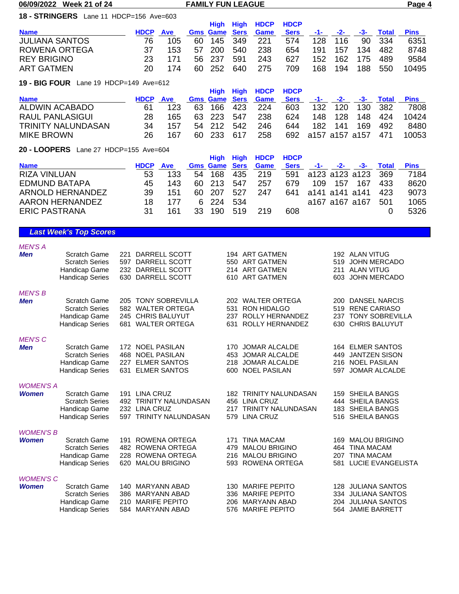#### **18 - STRINGERS** Lane 11 HDCP=156 Ave=603

|    | <b>Ave</b> |             |      |                         |         | <b>Sers</b>                  |                     |     |                                   |         | <b>Pins</b>        |
|----|------------|-------------|------|-------------------------|---------|------------------------------|---------------------|-----|-----------------------------------|---------|--------------------|
| 76 | 105        |             |      |                         | 221     | 574                          |                     |     | 90.                               |         | 6351               |
| 37 | 153        | 57          | -200 | 540                     | 238     | 654                          | 191                 | 157 | 134                               | 482     | 8748               |
| 23 |            |             |      | 591                     | 243     | 627                          |                     |     |                                   | 489     | 9584               |
| 20 | 174        |             |      | 640                     | 275     | 709                          | 168                 | 194 | 188                               | 550     | 10495              |
|    |            | <b>HDCP</b> |      | 60.<br>56 237<br>60 252 | 145 349 | <b>Gms Game Sers</b><br>Game | High High HDCP HDCP |     | $-1 - 2 -$<br>- 116<br>128<br>152 | 162 175 | -3- Total<br>- 334 |

# **19 - BIG FOUR** Lane 19 HDCP=149 Ave=612

|                           |    |            |  |                      |     | High High HDCP HDCP |             |                        |       |     |              |             |
|---------------------------|----|------------|--|----------------------|-----|---------------------|-------------|------------------------|-------|-----|--------------|-------------|
| <b>Name</b>               |    | <b>Ave</b> |  | <b>Gms Game Sers</b> |     | <b>Game</b>         | <b>Sers</b> | $-1-$                  | $-2-$ | -3- | <b>Total</b> | <b>Pins</b> |
| ALDWIN ACABADO            | 61 | 123        |  | 63 166 423           |     | 224                 | 603         | 132                    | 120   |     | 130 382      | 7808        |
| RAUL PANLASIGUI           | 28 | 165.       |  | 63 223               | 547 | 238                 | 624         | 148.                   | 128   | 148 | 424          | 10424       |
| <b>TRINITY NALUNDASAN</b> | 34 | 157        |  | 54 212               | 542 | 246                 | 644         | 182                    | 141   | 169 | 492          | 8480        |
| <b>MIKE BROWN</b>         | 26 | 167        |  | 60 233 617           |     | 258                 |             | 692 a157 a157 a157 471 |       |     |              | 10053       |
|                           |    |            |  |                      |     |                     |             |                        |       |     |              |             |

## **20 - LOOPERS** Lane 27 HDCP=155 Ave=604

|                         |    |            |    |                      |     | High High HDCP HDCP |             |      |                |                        |              |             |
|-------------------------|----|------------|----|----------------------|-----|---------------------|-------------|------|----------------|------------------------|--------------|-------------|
| <b>Name</b>             |    | <b>Ave</b> |    | <b>Gms Game Sers</b> |     | <b>Game</b>         | <b>Sers</b> | -1-  | $-2-$          | - 3-                   | <b>Total</b> | <b>Pins</b> |
| <b>RIZA VINLUAN</b>     | 53 | 133        |    | 54 168               | 435 | 219                 |             |      |                | 591 a123 a123 a123 369 |              | 7184        |
| <b>EDMUND BATAPA</b>    | 45 | 143        |    | 60 213               | 547 | 257                 | 679         | 109. | 157            | 167                    | 433          | 8620        |
| <b>ARNOLD HERNANDEZ</b> | 39 | 151        |    | 60 207               | 527 | 247                 | 641         |      | a141 a141 a141 |                        | 423          | 9073        |
| AARON HERNANDEZ         | 18 | 177        |    | 6 224                | 534 |                     |             |      | a167 a167 a167 |                        | 501          | 1065        |
| <b>ERIC PASTRANA</b>    | 31 | 161        | 33 | 190                  | 519 | 219                 | 608         |      |                |                        |              | 5326        |

# *Last Week's Top Scores*

#### *MEN'S A*

| <b>Men</b>       | <b>Scratch Game</b><br><b>Scratch Series</b> | DARRELL SCOTT<br>221<br>DARRELL SCOTT<br>597 | 194 ART GATMEN<br>550 ART GATMEN | 192 ALAN VITUG<br><b>JOHN MERCADO</b><br>519 |
|------------------|----------------------------------------------|----------------------------------------------|----------------------------------|----------------------------------------------|
|                  | Handicap Game                                | DARRELL SCOTT<br>232                         | 214 ART GATMEN                   | 211 ALAN VITUG                               |
|                  | <b>Handicap Series</b>                       | 630 DARRELL SCOTT                            | 610 ART GATMEN                   | 603 JOHN MERCADO                             |
| <b>MEN'S B</b>   |                                              |                                              |                                  |                                              |
| <b>Men</b>       | <b>Scratch Game</b>                          | 205 TONY SOBREVILLA                          | 202 WALTER ORTEGA                | 200 DANSEL NARCIS                            |
|                  | <b>Scratch Series</b>                        | 582 WALTER ORTEGA                            | <b>RON HIDALGO</b><br>531        | 519 RENE CARIASO                             |
|                  | Handicap Game                                | 245 CHRIS BALUYUT                            | 237 ROLLY HERNANDEZ              | 237 TONY SOBREVILLA                          |
|                  | <b>Handicap Series</b>                       | 681 WALTER ORTEGA                            | 631 ROLLY HERNANDEZ              | 630 CHRIS BALUYUT                            |
| <b>MEN'S C</b>   |                                              |                                              |                                  |                                              |
| <b>Men</b>       | <b>Scratch Game</b>                          | 172 NOEL PASILAN                             | 170 JOMAR ALCALDE                | 164 ELMER SANTOS                             |
|                  | <b>Scratch Series</b>                        | <b>NOEL PASILAN</b><br>468                   | 453 JOMAR ALCALDE                | <b>JANTZEN SISON</b><br>449                  |
|                  | Handicap Game                                | <b>ELMER SANTOS</b><br>227                   | 218 JOMAR ALCALDE                | 216 NOEL PASILAN                             |
|                  | <b>Handicap Series</b>                       | 631<br><b>ELMER SANTOS</b>                   | 600 NOEL PASILAN                 | 597 JOMAR ALCALDE                            |
| <b>WOMEN'S A</b> |                                              |                                              |                                  |                                              |
| <b>Women</b>     | <b>Scratch Game</b>                          | <b>LINA CRUZ</b><br>191                      | <b>182 TRINITY NALUNDASAN</b>    | 159 SHEILA BANGS                             |
|                  | <b>Scratch Series</b>                        | <b>TRINITY NALUNDASAN</b><br>492             | 456 LINA CRUZ                    | 444 SHEILA BANGS                             |
|                  | Handicap Game                                | 232<br><b>LINA CRUZ</b>                      | 217 TRINITY NALUNDASAN           | 183 SHEILA BANGS                             |
|                  | <b>Handicap Series</b>                       | 597 TRINITY NALUNDASAN                       | 579 LINA CRUZ                    | 516 SHEILA BANGS                             |
| <b>WOMEN'S B</b> |                                              |                                              |                                  |                                              |
| <b>Women</b>     | <b>Scratch Game</b>                          | ROWENA ORTEGA<br>191                         | <b>TINA MACAM</b><br>171         | <b>MALOU BRIGINO</b><br>169                  |
|                  | <b>Scratch Series</b>                        | ROWENA ORTEGA<br>482                         | <b>MALOU BRIGINO</b><br>479      | <b>TINA MACAM</b><br>464                     |
|                  | Handicap Game                                | 228 ROWENA ORTEGA                            | 216 MALOU BRIGINO                | <b>TINA MACAM</b><br>207                     |
|                  | <b>Handicap Series</b>                       | 620 MALOU BRIGINO                            | 593 ROWENA ORTEGA                | 581 LUCIE EVANGELISTA                        |
| <b>WOMEN'S C</b> |                                              |                                              |                                  |                                              |
| <b>Women</b>     | <b>Scratch Game</b>                          | MARYANN ABAD<br>140                          | 130 MARIFE PEPITO                | 128 JULIANA SANTOS                           |
|                  | <b>Scratch Series</b>                        | MARYANN ABAD<br>386                          | 336 MARIFE PEPITO                | 334 JULIANA SANTOS                           |
|                  | Handicap Game                                | <b>MARIFE PEPITO</b><br>210                  | <b>MARYANN ABAD</b><br>206       | 204 JULIANA SANTOS                           |
|                  | <b>Handicap Series</b>                       | 584 MARYANN ABAD                             | 576 MARIFE PEPITO                | 564 JAMIE BARRETT                            |